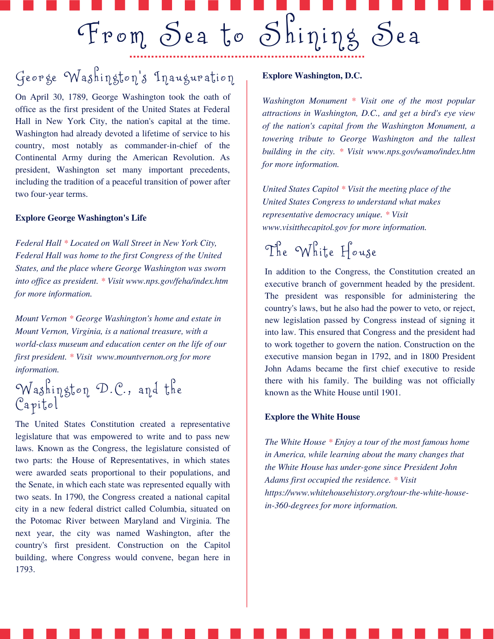#### George Washington'  $\delta$  Inauguration

On April 30, 1789, George Washington took the oath of office as the first president of the United States at Federal Hall in New York City, the nation's capital at the time. Washington had already devoted a lifetime of service to his country, most notably as commander-in-chief of the Continental Army during the American Revolution. As president, Washington set many important precedents, including the tradition of a peaceful transition of power after two four-year terms.

#### **Explore George Washington's Life**

*Federal Hall \* Located on Wall Street in New York City, Federal Hall was home to the first Congress of the United States, and the place where George Washington was sworn into of ice as president. \* Visit www.nps.gov/feha/index.htm for more information.*

*Mount Vernon \* George Washington's home and estate in Mount Vernon, Virginia, is a national treasure, with a world-class museum and education center on the life of our first president. \* Visit www.mountvernon.org for more information.*

 $W$ ashington D.C., and the Capitol

The United States Constitution created a representative legislature that was empowered to write and to pass new laws. Known as the Congress, the legislature consisted of two parts: the House of Representatives, in which states were awarded seats proportional to their populations, and the Senate, in which each state was represented equally with two seats. In 1790, the Congress created a national capital city in a new federal district called Columbia, situated on the Potomac River between Maryland and Virginia. The next year, the city was named Washington, after the country's first president. Construction on the Capitol building, where Congress would convene, began here in 1793.

#### **Explore Washington, D.C.**

*Washington Monument \* Visit one of the most popular attractions in Washington, D.C., and get a bird's eye view of the nation's capital from the Washington Monument, a towering tribute to George Washington and the tallest building in the city. \* Visit www.nps.gov/wamo/index.htm for more information.*

*United States Capitol \* Visit the meeting place of the United States Congress to understand what makes representative democracy unique. \* Visit www.visitthecapitol.gov for more information.*

## The White House

In addition to the Congress, the Constitution created an executive branch of government headed by the president. The president was responsible for administering the country's laws, but he also had the power to veto, or reject, new legislation passed by Congress instead of signing it into law. This ensured that Congress and the president had to work together to govern the nation. Construction on the executive mansion began in 1792, and in 1800 President John Adams became the first chief executive to reside there with his family. The building was not officially known as the White House until 1901.

#### **Explore the White House**

*The White House \* Enjoy a tour of the most famous home in America, while learning about the many changes that the White House has under-gone since President John Adams first occupied the residence. \* Visit https://www.whitehousehistory.org/tour-the-white-housein-360-degrees for more information.*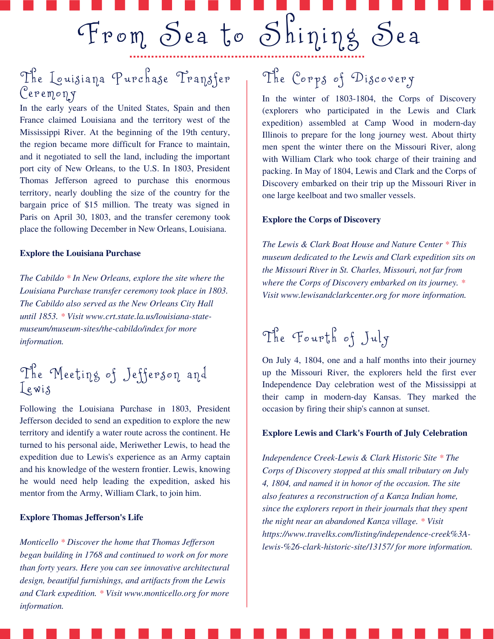## The Louisiana Purchase Transfer Ceremony

In the early years of the United States, Spain and then France claimed Louisiana and the territory west of the Mississippi River. At the beginning of the 19th century, the region became more difficult for France to maintain, and it negotiated to sell the land, including the important port city of New Orleans, to the U.S. In 1803, President Thomas Jefferson agreed to purchase this enormous territory, nearly doubling the size of the country for the bargain price of \$15 million. The treaty was signed in Paris on April 30, 1803, and the transfer ceremony took place the following December in New Orleans, Louisiana.

#### **Explore the Louisiana Purchase**

*The Cabildo \* In New Orleans, explore the site where the Louisiana Purchase transfer ceremony took place in 1803. The Cabildo also served as the New Orleans City Hall until 1853. \* Visit www.crt.state.la.us/louisiana-statemuseum/museum-sites/the-cabildo/index for more information.*

### The Meeting of Jefferson and Lewi s

Following the Louisiana Purchase in 1803, President Jefferson decided to send an expedition to explore the new territory and identify a water route across the continent. He turned to his personal aide, Meriwether Lewis, to head the expedition due to Lewis's experience as an Army captain and his knowledge of the western frontier. Lewis, knowing he would need help leading the expedition, asked his mentor from the Army, William Clark, to join him.

#### **Explore Thomas Jefferson's Life**

*Monticello \* Discover the home that Thomas Jef erson began building in 1768 and continued to work on for more than forty years. Here you can see innovative architectural design, beautiful furnishings, and artifacts from the Lewis and Clark expedition. \* Visit www.monticello.org for more information.*

The Corps of Discovery

In the winter of 1803-1804, the Corps of Discovery (explorers who participated in the Lewis and Clark expedition) assembled at Camp Wood in modern-day Illinois to prepare for the long journey west. About thirty men spent the winter there on the Missouri River, along with William Clark who took charge of their training and packing. In May of 1804, Lewis and Clark and the Corps of Discovery embarked on their trip up the Missouri River in one large keelboat and two smaller vessels.

#### **Explore the Corps of Discovery**

*The Lewis & Clark Boat House and Nature Center \* This museum dedicated to the Lewis and Clark expedition sits on the Missouri River in St. Charles, Missouri, not far from where the Corps of Discovery embarked on its journey. \* Visit www.lewisandclarkcenter.org for more information.*

# The Fourth of July

On July 4, 1804, one and a half months into their journey up the Missouri River, the explorers held the first ever Independence Day celebration west of the Mississippi at their camp in modern-day Kansas. They marked the occasion by firing their ship's cannon at sunset.

#### **Explore Lewis and Clark's Fourth of July Celebration**

*Independence Creek-Lewis & Clark Historic Site \* The Corps of Discovery stopped at this small tributary on July 4, 1804, and named it in honor of the occasion. The site also features a reconstruction of a Kanza Indian home, since the explorers report in their journals that they spent the night near an abandoned Kanza village. \* Visit https://www.travelks.com/listing/independence-creek%3Alewis-%26-clark-historic-site/13157/ for more information.*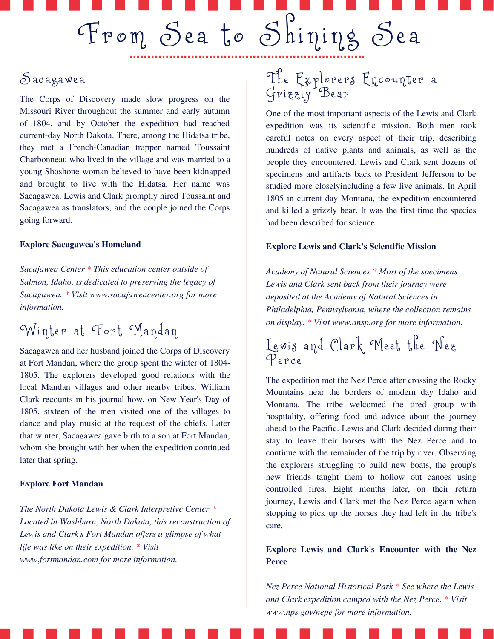## $S$ acagawea

The Corps of Discovery made slow progress on the Missouri River throughout the summer and early autumn of 1804, and by October the expedition had reached current-day North Dakota. There, among the Hidatsa tribe, they met a French-Canadian trapper named Toussaint Charbonneau who lived in the village and was married to a young Shoshone woman believed to have been kidnapped and brought to live with the Hidatsa. Her name was Sacagawea. Lewis and Clark promptly hired Toussaint and Sacagawea as translators, and the couple joined the Corps going forward.

#### **Explore Sacagawea's Homeland**

*Sacajawea Center \* This education center outside of Salmon, Idaho, is dedicated to preserving the legacy of Sacagawea. \* Visit www.sacajaweacenter.org for more information.*

## Winter at Fort Mandan

Sacagawea and her husband joined the Corps of Discovery at Fort Mandan, where the group spent the winter of 1804- 1805. The explorers developed good relations with the local Mandan villages and other nearby tribes. William Clark recounts in his journal how, on New Year's Day of 1805, sixteen of the men visited one of the villages to dance and play music at the request of the chiefs. Later that winter, Sacagawea gave birth to a son at Fort Mandan, whom she brought with her when the expedition continued later that spring.

#### **Explore Fort Mandan**

*The North Dakota Lewis & Clark Interpretive Center \* Located in Washburn, North Dakota, this reconstruction of Lewis and Clark's Fort Mandan of ers a glimpse of what life was like on their expedition. \* Visit www.fortmandan.com for more information.*

### The Explorers Encounter a Grizzly Dear

One of the most important aspects of the Lewis and Clark expedition was its scientific mission. Both men took careful notes on every aspect of their trip, describing hundreds of native plants and animals, as well as the people they encountered. Lewis and Clark sent dozens of specimens and artifacts back to President Jefferson to be studied more closelyincluding a few live animals. In April 1805 in current-day Montana, the expedition encountered and killed a grizzly bear. It was the first time the species had been described for science.

#### **Explore Lewis and Clark's Scientific Mission**

*Academy of Natural Sciences \* Most of the specimens Lewis and Clark sent back from their journey were deposited at the Academy of Natural Sciences in Philadelphia, Pennsylvania, where the collection remains on display. \* Visit www.ansp.org for more information.*

### Lewis and Clark Meet the Nez  $\overline{\varphi}_{\text{prec}}$

The expedition met the Nez Perce after crossing the Rocky Mountains near the borders of modern day Idaho and Montana. The tribe welcomed the tired group with hospitality, offering food and advice about the journey ahead to the Pacific. Lewis and Clark decided during their stay to leave their horses with the Nez Perce and to continue with the remainder of the trip by river. Observing the explorers struggling to build new boats, the group's new friends taught them to hollow out canoes using controlled fires. Eight months later, on their return journey, Lewis and Clark met the Nez Perce again when stopping to pick up the horses they had left in the tribe's care.

#### **Explore Lewis and Clark's Encounter with the Nez Perce**

*Nez Perce National Historical Park \* See where the Lewis and Clark expedition camped with the Nez Perce. \* Visit www.nps.gov/nepe for more information.*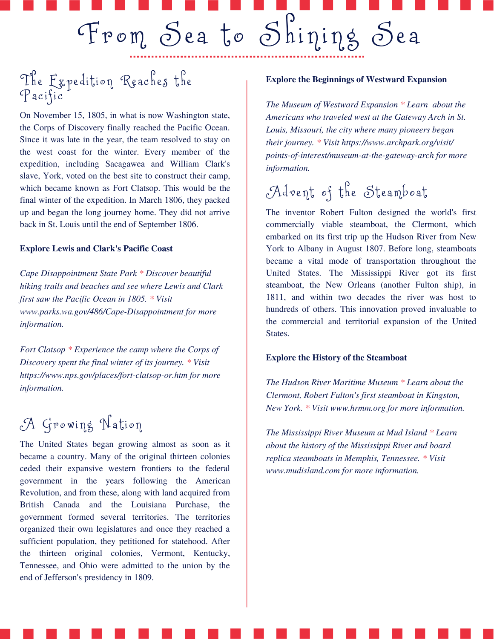## The Expedition Reaches the Pacific

On November 15, 1805, in what is now Washington state, the Corps of Discovery finally reached the Pacific Ocean. Since it was late in the year, the team resolved to stay on the west coast for the winter. Every member of the expedition, including Sacagawea and William Clark's slave, York, voted on the best site to construct their camp, which became known as Fort Clatsop. This would be the final winter of the expedition. In March 1806, they packed up and began the long journey home. They did not arrive back in St. Louis until the end of September 1806.

#### **Explore Lewis and Clark's Pacific Coast**

*Cape Disappointment State Park \* Discover beautiful hiking trails and beaches and see where Lewis and Clark first saw the Pacific Ocean in 1805. \* Visit www.parks.wa.gov/486/Cape-Disappointment for more information.*

*Fort Clatsop \* Experience the camp where the Corps of Discovery spent the final winter of its journey. \* Visit https://www.nps.gov/places/fort-clatsop-or.htm for more information.*

## A Growing Nation

The United States began growing almost as soon as it became a country. Many of the original thirteen colonies ceded their expansive western frontiers to the federal government in the years following the American Revolution, and from these, along with land acquired from British Canada and the Louisiana Purchase, the government formed several territories. The territories organized their own legislatures and once they reached a sufficient population, they petitioned for statehood. After the thirteen original colonies, Vermont, Kentucky, Tennessee, and Ohio were admitted to the union by the end of Jefferson's presidency in 1809.

#### **Explore the Beginnings of Westward Expansion**

*The Museum of Westward Expansion \* Learn about the Americans who traveled west at the Gateway Arch in St. Louis, Missouri, the city where many pioneers began their journey. \* Visit https://www.archpark.org/visit/ points-of-interest/museum-at-the-gateway-arch for more information.*

# Advent of the Steamboat

The inventor Robert Fulton designed the world's first commercially viable steamboat, the Clermont, which embarked on its first trip up the Hudson River from New York to Albany in August 1807. Before long, steamboats became a vital mode of transportation throughout the United States. The Mississippi River got its first steamboat, the New Orleans (another Fulton ship), in 1811, and within two decades the river was host to hundreds of others. This innovation proved invaluable to the commercial and territorial expansion of the United States.

#### **Explore the History of the Steamboat**

*The Hudson River Maritime Museum \* Learn about the Clermont, Robert Fulton's first steamboat in Kingston, New York. \* Visit www.hrmm.org for more information.*

*The Mississippi River Museum at Mud Island \* Learn about the history of the Mississippi River and board replica steamboats in Memphis, Tennessee. \* Visit www.mudisland.com for more information.*